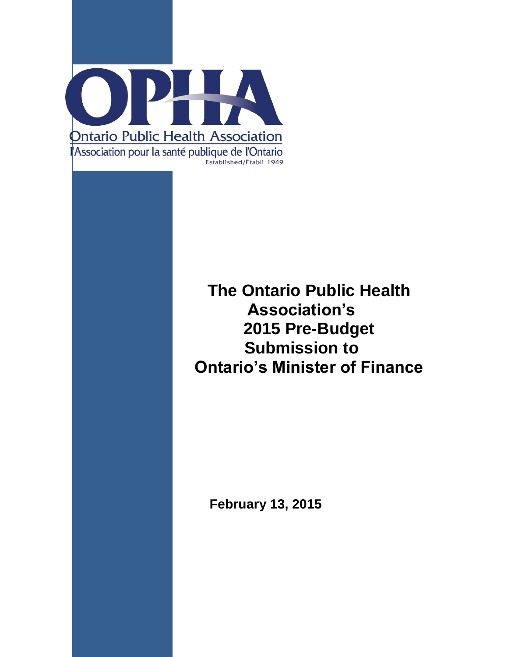

# **The Ontario Public Health Association's 2015 Pre-Budget Submission to Ontario's Minister of Finance**

**February 13, 2015**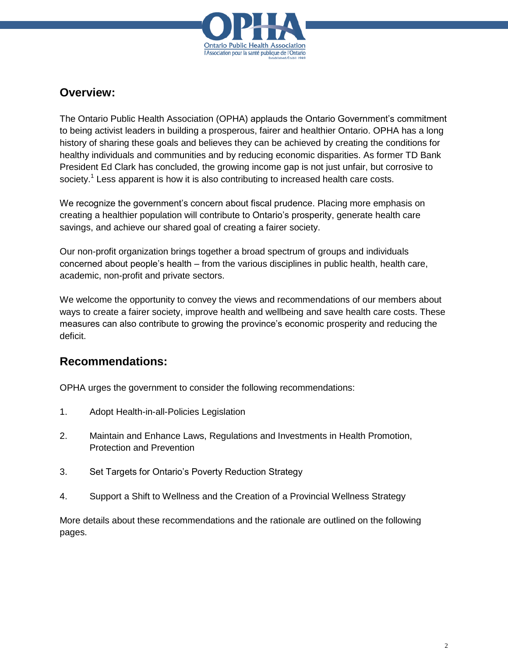

## **Overview:**

The Ontario Public Health Association (OPHA) applauds the Ontario Government's commitment to being activist leaders in building a prosperous, fairer and healthier Ontario. OPHA has a long history of sharing these goals and believes they can be achieved by creating the conditions for healthy individuals and communities and by reducing economic disparities. As former TD Bank President Ed Clark has concluded, the growing income gap is not just unfair, but corrosive to society.<sup>1</sup> Less apparent is how it is also contributing to increased health care costs.

We recognize the government's concern about fiscal prudence. Placing more emphasis on creating a healthier population will contribute to Ontario's prosperity, generate health care savings, and achieve our shared goal of creating a fairer society.

Our non-profit organization brings together a broad spectrum of groups and individuals concerned about people's health – from the various disciplines in public health, health care, academic, non-profit and private sectors.

We welcome the opportunity to convey the views and recommendations of our members about ways to create a fairer society, improve health and wellbeing and save health care costs. These measures can also contribute to growing the province's economic prosperity and reducing the deficit.

# **Recommendations:**

OPHA urges the government to consider the following recommendations:

- 1. Adopt Health-in-all-Policies Legislation
- 2. Maintain and Enhance Laws, Regulations and Investments in Health Promotion, Protection and Prevention
- 3. Set Targets for Ontario's Poverty Reduction Strategy
- 4. Support a Shift to Wellness and the Creation of a Provincial Wellness Strategy

More details about these recommendations and the rationale are outlined on the following pages.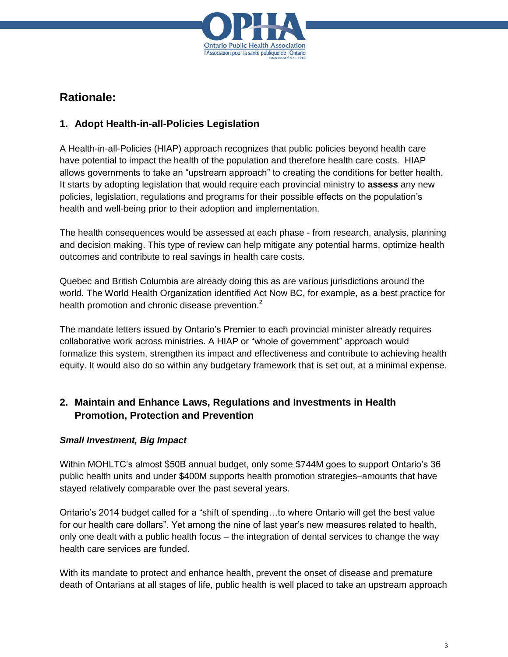

# **Rationale:**

### **1. Adopt Health-in-all-Policies Legislation**

A Health-in-all-Policies (HIAP) approach recognizes that public policies beyond health care have potential to impact the health of the population and therefore health care costs. HIAP allows governments to take an "upstream approach" to creating the conditions for better health. It starts by adopting legislation that would require each provincial ministry to **assess** any new policies, legislation, regulations and programs for their possible effects on the population's health and well-being prior to their adoption and implementation.

The health consequences would be assessed at each phase - from research, analysis, planning and decision making. This type of review can help mitigate any potential harms, optimize health outcomes and contribute to real savings in health care costs.

Quebec and British Columbia are already doing this as are various jurisdictions around the world. The World Health Organization identified Act Now BC, for example, as a best practice for health promotion and chronic disease prevention.<sup>2</sup>

The mandate letters issued by Ontario's Premier to each provincial minister already requires collaborative work across ministries. A HIAP or "whole of government" approach would formalize this system, strengthen its impact and effectiveness and contribute to achieving health equity. It would also do so within any budgetary framework that is set out, at a minimal expense.

### **2. Maintain and Enhance Laws, Regulations and Investments in Health Promotion, Protection and Prevention**

#### *Small Investment, Big Impact*

Within MOHLTC's almost \$50B annual budget, only some \$744M goes to support Ontario's 36 public health units and under \$400M supports health promotion strategies–amounts that have stayed relatively comparable over the past several years.

Ontario's 2014 budget called for a "shift of spending…to where Ontario will get the best value for our health care dollars". Yet among the nine of last year's new measures related to health, only one dealt with a public health focus – the integration of dental services to change the way health care services are funded.

With its mandate to protect and enhance health, prevent the onset of disease and premature death of Ontarians at all stages of life, public health is well placed to take an upstream approach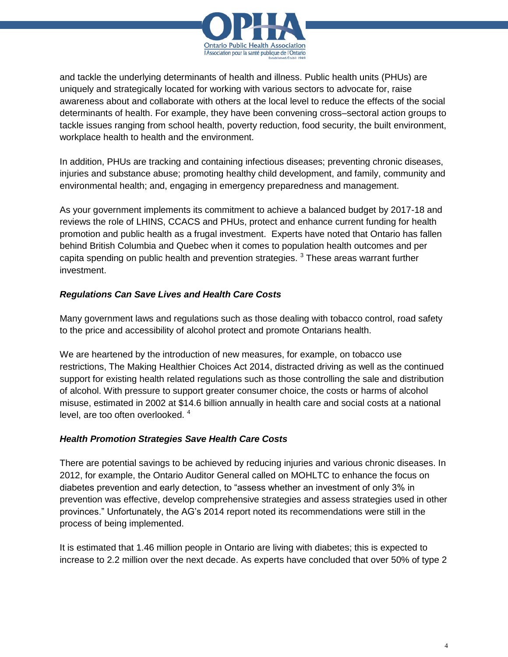

and tackle the underlying determinants of health and illness. Public health units (PHUs) are uniquely and strategically located for working with various sectors to advocate for, raise awareness about and collaborate with others at the local level to reduce the effects of the social determinants of health. For example, they have been convening cross–sectoral action groups to tackle issues ranging from school health, poverty reduction, food security, the built environment, workplace health to health and the environment.

In addition, PHUs are tracking and containing infectious diseases; preventing chronic diseases, injuries and substance abuse; promoting healthy child development, and family, community and environmental health; and, engaging in emergency preparedness and management.

As your government implements its commitment to achieve a balanced budget by 2017-18 and reviews the role of LHINS, CCACS and PHUs, protect and enhance current funding for health promotion and public health as a frugal investment. Experts have noted that Ontario has fallen behind British Columbia and Quebec when it comes to population health outcomes and per capita spending on public health and prevention strategies.  $3$  These areas warrant further investment.

#### *Regulations Can Save Lives and Health Care Costs*

Many government laws and regulations such as those dealing with tobacco control, road safety to the price and accessibility of alcohol protect and promote Ontarians health.

We are heartened by the introduction of new measures, for example, on tobacco use restrictions, The Making Healthier Choices Act 2014, distracted driving as well as the continued support for existing health related regulations such as those controlling the sale and distribution of alcohol. With pressure to support greater consumer choice, the costs or harms of alcohol misuse, estimated in 2002 at \$14.6 billion annually in health care and social costs at a national level, are too often overlooked.<sup>4</sup>

#### *Health Promotion Strategies Save Health Care Costs*

There are potential savings to be achieved by reducing injuries and various chronic diseases. In 2012, for example, the Ontario Auditor General called on MOHLTC to enhance the focus on diabetes prevention and early detection, to "assess whether an investment of only 3% in prevention was effective, develop comprehensive strategies and assess strategies used in other provinces." Unfortunately, the AG's 2014 report noted its recommendations were still in the process of being implemented.

It is estimated that 1.46 million people in Ontario are living with diabetes; this is expected to increase to 2.2 million over the next decade. As experts have concluded that over 50% of type 2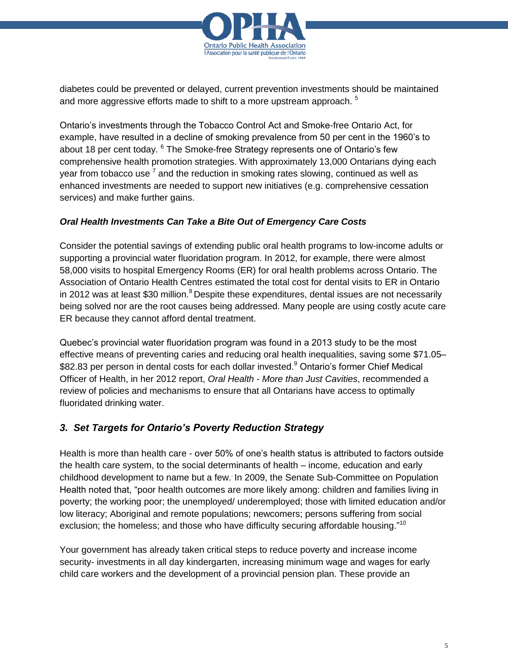

diabetes could be prevented or delayed, current prevention investments should be maintained and more aggressive efforts made to shift to a more upstream approach.  $^5$ 

Ontario's investments through the Tobacco Control Act and Smoke-free Ontario Act, for example, have resulted in a decline of smoking prevalence from 50 per cent in the 1960's to about 18 per cent today. <sup>6</sup> The Smoke-free Strategy represents one of Ontario's few comprehensive health promotion strategies. With approximately 13,000 Ontarians dying each year from tobacco use  $^7$  and the reduction in smoking rates slowing, continued as well as enhanced investments are needed to support new initiatives (e.g. comprehensive cessation services) and make further gains.

#### *Oral Health Investments Can Take a Bite Out of Emergency Care Costs*

Consider the potential savings of extending public oral health programs to low-income adults or supporting a provincial water fluoridation program. In 2012, for example, there were almost 58,000 visits to hospital Emergency Rooms (ER) for oral health problems across Ontario. The Association of Ontario Health Centres estimated the total cost for dental visits to ER in Ontario in 2012 was at least \$30 million.<sup>8</sup> Despite these expenditures, dental issues are not necessarily being solved nor are the root causes being addressed. Many people are using costly acute care ER because they cannot afford dental treatment.

Quebec's provincial water fluoridation program was found in a 2013 study to be the most effective means of preventing caries and reducing oral health inequalities, saving some \$71.05– \$82.83 per person in dental costs for each dollar invested.<sup>9</sup> Ontario's former Chief Medical Officer of Health, in her 2012 report, *Oral Health - More than Just Cavities*, recommended a review of policies and mechanisms to ensure that all Ontarians have access to optimally fluoridated drinking water.

### *3. Set Targets for Ontario's Poverty Reduction Strategy*

Health is more than health care - over 50% of one's health status is attributed to factors outside the health care system, to the social determinants of health – income, education and early childhood development to name but a few. . In 2009, the Senate Sub-Committee on Population Health noted that, "poor health outcomes are more likely among: children and families living in poverty; the working poor; the unemployed/ underemployed; those with limited education and/or low literacy; Aboriginal and remote populations; newcomers; persons suffering from social exclusion; the homeless; and those who have difficulty securing affordable housing."<sup>10</sup>

Your government has already taken critical steps to reduce poverty and increase income security- investments in all day kindergarten, increasing minimum wage and wages for early child care workers and the development of a provincial pension plan. These provide an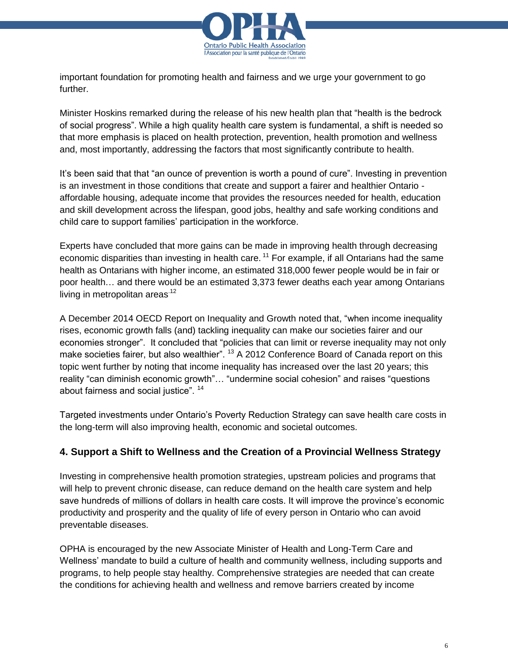

important foundation for promoting health and fairness and we urge your government to go further.

Minister Hoskins remarked during the release of his new health plan that "health is the bedrock of social progress". While a high quality health care system is fundamental, a shift is needed so that more emphasis is placed on health protection, prevention, health promotion and wellness and, most importantly, addressing the factors that most significantly contribute to health.

It's been said that that "an ounce of prevention is worth a pound of cure". Investing in prevention is an investment in those conditions that create and support a fairer and healthier Ontario affordable housing, adequate income that provides the resources needed for health, education and skill development across the lifespan, good jobs, healthy and safe working conditions and child care to support families' participation in the workforce.

Experts have concluded that more gains can be made in improving health through decreasing economic disparities than investing in health care.<sup>11</sup> For example, if all Ontarians had the same health as Ontarians with higher income, an estimated 318,000 fewer people would be in fair or poor health… and there would be an estimated 3,373 fewer deaths each year among Ontarians living in metropolitan areas $12$ 

A December 2014 OECD Report on Inequality and Growth noted that, "when income inequality rises, economic growth falls (and) tackling inequality can make our societies fairer and our economies stronger". It concluded that "policies that can limit or reverse inequality may not only make societies fairer, but also wealthier". <sup>13</sup> A 2012 Conference Board of Canada report on this topic went further by noting that income inequality has increased over the last 20 years; this reality "can diminish economic growth"… "undermine social cohesion" and raises "questions about fairness and social justice". <sup>14</sup>

Targeted investments under Ontario's Poverty Reduction Strategy can save health care costs in the long-term will also improving health, economic and societal outcomes.

### **4. Support a Shift to Wellness and the Creation of a Provincial Wellness Strategy**

Investing in comprehensive health promotion strategies, upstream policies and programs that will help to prevent chronic disease, can reduce demand on the health care system and help save hundreds of millions of dollars in health care costs. It will improve the province's economic productivity and prosperity and the quality of life of every person in Ontario who can avoid preventable diseases.

OPHA is encouraged by the new Associate Minister of Health and Long-Term Care and Wellness' mandate to build a culture of health and community wellness, including supports and programs, to help people stay healthy. Comprehensive strategies are needed that can create the conditions for achieving health and wellness and remove barriers created by income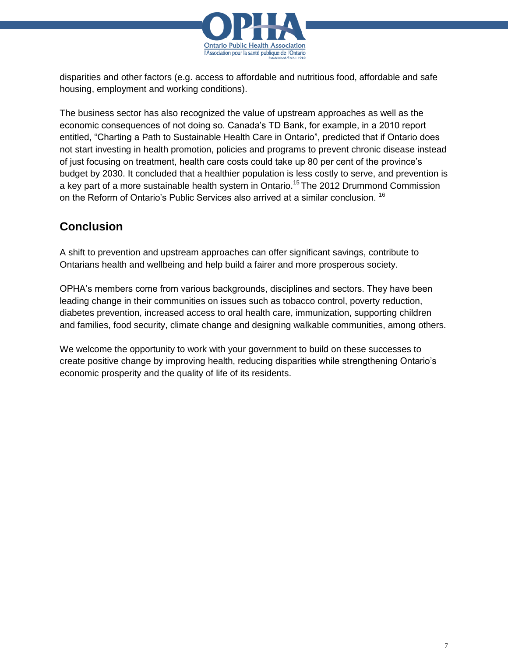

disparities and other factors (e.g. access to affordable and nutritious food, affordable and safe housing, employment and working conditions).

The business sector has also recognized the value of upstream approaches as well as the economic consequences of not doing so. Canada's TD Bank, for example, in a 2010 report entitled, "Charting a Path to Sustainable Health Care in Ontario", predicted that if Ontario does not start investing in health promotion, policies and programs to prevent chronic disease instead of just focusing on treatment, health care costs could take up 80 per cent of the province's budget by 2030. It concluded that a healthier population is less costly to serve, and prevention is a key part of a more sustainable health system in Ontario.<sup>15</sup> The 2012 Drummond Commission on the Reform of Ontario's Public Services also arrived at a similar conclusion. <sup>16</sup>

# **Conclusion**

A shift to prevention and upstream approaches can offer significant savings, contribute to Ontarians health and wellbeing and help build a fairer and more prosperous society.

OPHA's members come from various backgrounds, disciplines and sectors. They have been leading change in their communities on issues such as tobacco control, poverty reduction, diabetes prevention, increased access to oral health care, immunization, supporting children and families, food security, climate change and designing walkable communities, among others.

We welcome the opportunity to work with your government to build on these successes to create positive change by improving health, reducing disparities while strengthening Ontario's economic prosperity and the quality of life of its residents.